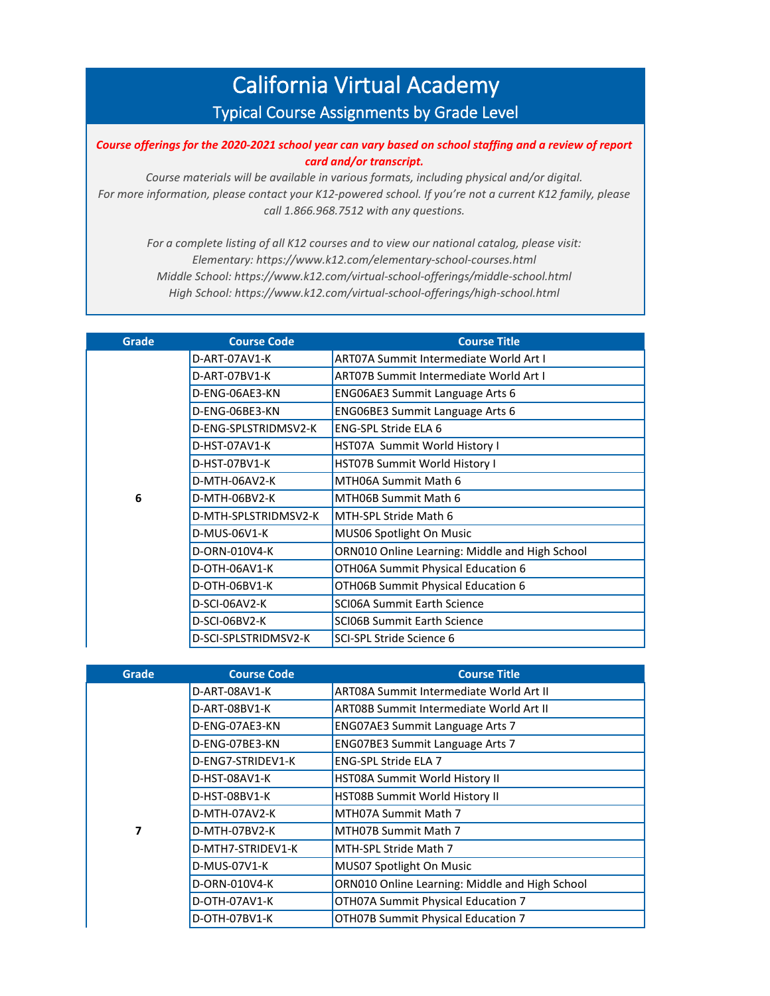## California Virtual Academy Typical Course Assignments by Grade Level

*Course offerings for the 2020-2021 school year can vary based on school staffing and a review of report card and/or transcript.* 

*Course materials will be available in various formats, including physical and/or digital. For more information, please contact your K12-powered school. If you're not a current K12 family, please call 1.866.968.7512 with any questions.*

*For a complete listing of all K12 courses and to view our national catalog, please visit: Elementary: https://www.k12.com/elementary-school-courses.html Middle School: https://www.k12.com/virtual-school-offerings/middle-school.html High School: https://www.k12.com/virtual-school-offerings/high-school.html*

| Grade | <b>Course Code</b>   | <b>Course Title</b>                            |
|-------|----------------------|------------------------------------------------|
|       | D-ART-07AV1-K        | <b>ART07A Summit Intermediate World Art I</b>  |
|       | D-ART-07BV1-K        | <b>ART07B Summit Intermediate World Art I</b>  |
|       | D-ENG-06AE3-KN       | <b>ENG06AE3 Summit Language Arts 6</b>         |
|       | D-ENG-06BE3-KN       | <b>ENG06BE3 Summit Language Arts 6</b>         |
|       | D-ENG-SPLSTRIDMSV2-K | <b>ENG-SPL Stride ELA 6</b>                    |
|       | D-HST-07AV1-K        | HST07A Summit World History I                  |
|       | D-HST-07BV1-K        | HST07B Summit World History I                  |
|       | D-MTH-06AV2-K        | MTH06A Summit Math 6                           |
| 6     | D-MTH-06BV2-K        | MTH06B Summit Math 6                           |
|       | D-MTH-SPLSTRIDMSV2-K | MTH-SPL Stride Math 6                          |
|       | D-MUS-06V1-K         | MUS06 Spotlight On Music                       |
|       | D-ORN-010V4-K        | ORN010 Online Learning: Middle and High School |
|       | D-OTH-06AV1-K        | OTH06A Summit Physical Education 6             |
|       | D-OTH-06BV1-K        | OTH06B Summit Physical Education 6             |
|       | D-SCI-06AV2-K        | <b>SCI06A Summit Earth Science</b>             |
|       | D-SCI-06BV2-K        | <b>SCIO6B Summit Earth Science</b>             |
|       | D-SCI-SPLSTRIDMSV2-K | SCI-SPL Stride Science 6                       |

| Grade | <b>Course Code</b> | <b>Course Title</b>                            |
|-------|--------------------|------------------------------------------------|
|       | D-ART-08AV1-K      | ART08A Summit Intermediate World Art II        |
|       | D-ART-08BV1-K      | ART08B Summit Intermediate World Art II        |
|       | D-ENG-07AE3-KN     | <b>ENG07AE3 Summit Language Arts 7</b>         |
|       | D-ENG-07BE3-KN     | ENG07BE3 Summit Language Arts 7                |
|       | D-ENG7-STRIDEV1-K  | <b>ENG-SPL Stride ELA 7</b>                    |
|       | D-HST-08AV1-K      | <b>HST08A Summit World History II</b>          |
|       | D-HST-08BV1-K      | HST08B Summit World History II                 |
|       | D-MTH-07AV2-K      | MTH07A Summit Math 7                           |
| 7     | D-MTH-07BV2-K      | MTH07B Summit Math 7                           |
|       | D-MTH7-STRIDEV1-K  | MTH-SPL Stride Math 7                          |
|       | D-MUS-07V1-K       | MUS07 Spotlight On Music                       |
|       | D-ORN-010V4-K      | ORN010 Online Learning: Middle and High School |
|       | D-OTH-07AV1-K      | OTH07A Summit Physical Education 7             |
|       | D-OTH-07BV1-K      | OTH07B Summit Physical Education 7             |